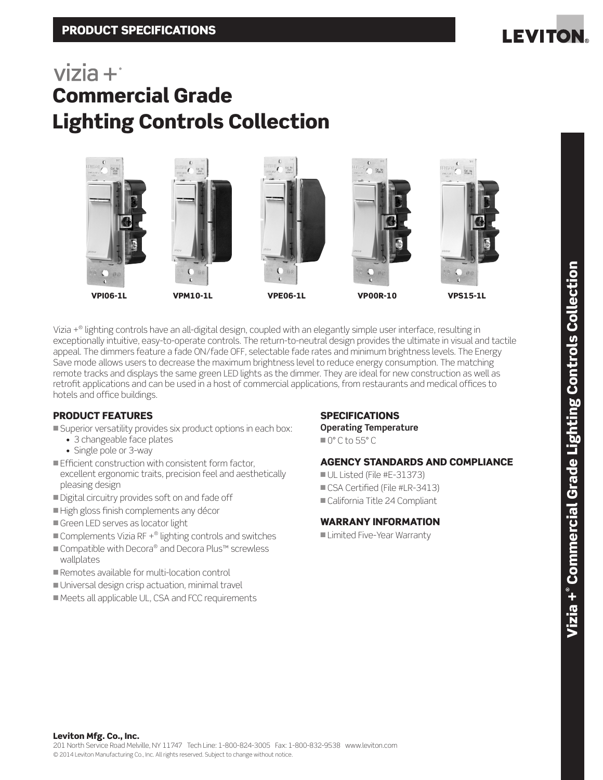

## $vizia +$ Commercial Grade Lighting Controls Collection



Vizia +® lighting controls have an all-digital design, coupled with an elegantly simple user interface, resulting in exceptionally intuitive, easy-to-operate controls. The return-to-neutral design provides the ultimate in visual and tactile appeal. The dimmers feature a fade ON/fade OFF, selectable fade rates and minimum brightness levels. The Energy Save mode allows users to decrease the maximum brightness level to reduce energy consumption. The matching remote tracks and displays the same green LED lights as the dimmer. They are ideal for new construction as well as retrofit applications and can be used in a host of commercial applications, from restaurants and medical offices to hotels and office buildings.

## PRODUCT FEATURES

- Superior versatility provides six product options in each box:
	- 3 changeable face plates
	- Single pole or 3-way
- $\blacksquare$  Efficient construction with consistent form factor, excellent ergonomic traits, precision feel and aesthetically pleasing design
- Digital circuitry provides soft on and fade off
- High gloss finish complements any décor
- Green LED serves as locator light
- $\blacksquare$  Complements Vizia RF  $+^\circledR$  lighting controls and switches
- Compatible with Decora® and Decora Plus™ screwless wallplates
- Remotes available for multi-location control
- Universal design crisp actuation, minimal travel
- Meets all applicable UL, CSA and FCC requirements

## **SPECIFICATIONS**

**Operating Temperature**

 $^{\circ}$  0 $^{\circ}$  C to 55 $^{\circ}$  C

## AGENCY STANDARDS AND COMPLIANCE

 $\blacksquare$  UL Listed (File #E-31373) CSA Certified (File #LR-3413) California Title 24 Compliant

## WARRANY INFORMATION

■ Limited Five-Year Warranty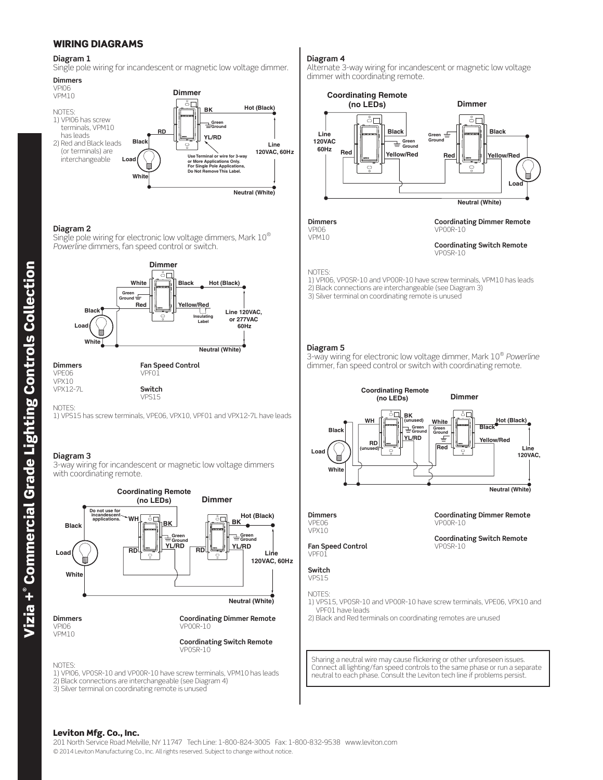## WIRING DIAGRAMS

### **Diagram 1**

Single pole wiring for incandescent or magnetic low voltage dimmer.



### **Diagram 2**

Single pole wiring for electronic low voltage dimmers, Mark 10® *Powerline* dimmers, fan speed control or switch.



**Dimmers** VPE06 VPX10 VPX12-7L

**Switch** 

VPS15

**NOTES** 1) VPS15 has screw terminals, VPE06, VPX10, VPF01 and VPX12-7L have leads

### **Diagram 3**

3-way wiring for incandescent or magnetic low voltage dimmers with coordinating remote.



VP0SR-10

NOTES:

1) VPI06, VP0SR-10 and VP00R-10 have screw terminals, VPM10 has leads 2) Black connections are interchangeable (see Diagram 4)

3) Silver terminal on coordinating remote is unused

## **Diagram 4**

Alternate 3-way wiring for incandescent or magnetic low voltage dimmer with coordinating remote.



VPI06 VPM10

### **Coordinating Dimmer Remote** VP00R-10

**Coordinating Switch Remote** VP0SR-10

### NOTES:

1) VPI06, VP0SR-10 and VP00R-10 have screw terminals, VPM10 has leads 2) Black connections are interchangeable (see Diagram 3) 3) Silver terminal on coordinating remote is unused

**Diagram 5**

3-way wiring for electronic low voltage dimmer, Mark 10® *Powerline* dimmer, fan speed control or switch with coordinating remote.



**Dimmers** VPE06 VPX10

**Coordinating Dimmer Remote** VP00R-10

**Coordinating Switch Remote** VP0SR-10

**Fan Speed Control** VPF01

#### **Switch** VPS15

NOTES:

1) VPS15, VP0SR-10 and VP00R-10 have screw terminals, VPE06, VPX10 and VPF01 have leads

2) Black and Red terminals on coordinating remotes are unused

Sharing a neutral wire may cause flickering or other unforeseen issues. Connect all lighting/fan speed controls to the same phase or run a separate neutral to each phase. Consult the Leviton tech line if problems persist.

### Leviton Mfg. Co., Inc.

201 North Service Road Melville, NY 11747 Tech Line: 1-800-824-3005 Fax: 1-800-832-9538 www.leviton.com © 2014 Leviton Manufacturing Co., Inc. All rights reserved. Subject to change without notice.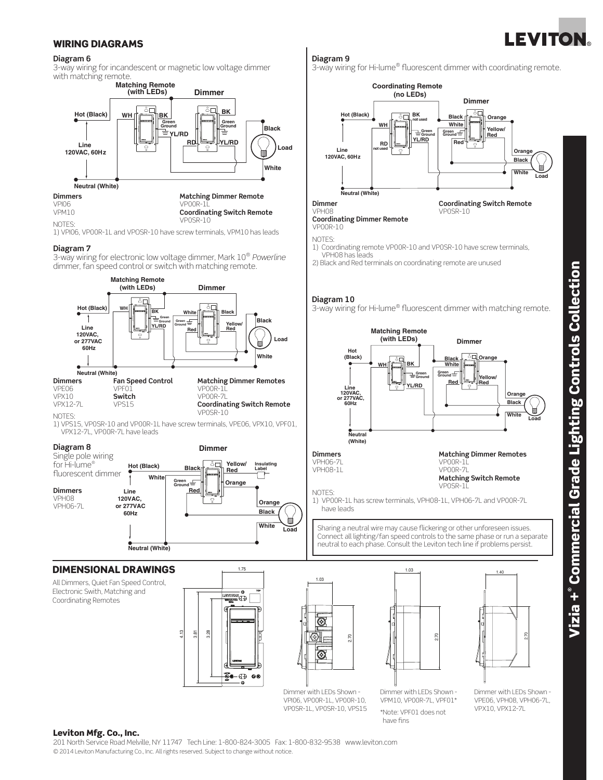# **LEVITON**

## WIRING DIAGRAMS

### **Diagram 6**

3-way wiring for incandescent or magnetic low voltage dimmer with matching remote.



1) VPI06, VP00R-1L and VPOSR-10 have screw terminals, VPM10 has leads

## **Diagram 7**

3-way wiring for electronic low voltage dimmer, Mark 10® *Powerline* dimmer, fan speed control or switch with matching remote.



1) VPS15, VP0SR-10 and VP00R-1L have screw terminals, VPE06, VPX10, VPF01, VPX12-7L, VP00R-7L have leads



## DIMENSIONAL DRAWINGS **1.75**

All Dimmers, Quiet Fan Speed Control, Electronic Swith, Matching and Coordinating Remotes





Dimmer with LEDs Shown - VPI06, VP00R-1L, VP00R-10, VP0SR-1L, VP0SR-10, VPS15 Dimmer with LEDs Shown - VPM10, VP00R-7L, VPF01\* \*Note: VPF01 does not have fins

Dimmer with LEDs Shown - VPE06, VPH08, VPH06-7L, VPX10, VPX12-7L

2.70

## **Diagram 9**

3-way wiring for Hi-lume® fluorescent dimmer with coordinating remote.



**Coordinating Dimmer Remote** VP00R-10

NOTES:

- 1) Coordinating remote VP00R-10 and VP0SR-10 have screw terminals, VPH08 has leads
- 2) Black and Red terminals on coordinating remote are unused

## **Diagram 10**

3-way wiring for Hi-lume® fluorescent dimmer with matching remote.



Sharing a neutral wire may cause flickering or other unforeseen issues. Connect all lighting/fan speed controls to the same phase or run a separate neutral to each phase. Consult the Leviton tech line if problems persist.

 $\frac{1.40}{2.75}$ 

2.70

Leviton Mfg. Co., Inc.

201 North Service Road Melville, NY 11747 Tech Line: 1-800-824-3005 Fax: 1-800-832-9538 www.leviton.com © 2014 Leviton Manufacturing Co., Inc. All rights reserved. Subject to change without notice.